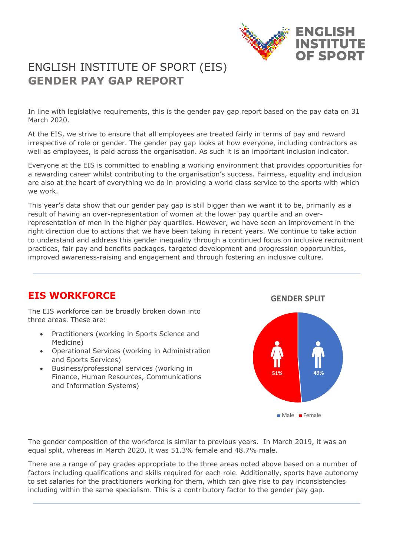

# ENGLISH INSTITUTE OF SPORT (EIS) **GENDER PAY GAP REPORT**

In line with legislative requirements, this is the gender pay gap report based on the pay data on 31 March 2020.

At the EIS, we strive to ensure that all employees are treated fairly in terms of pay and reward irrespective of role or gender. The gender pay gap looks at how everyone, including contractors as well as employees, is paid across the organisation. As such it is an important inclusion indicator.

Everyone at the EIS is committed to enabling a working environment that provides opportunities for a rewarding career whilst contributing to the organisation's success. Fairness, equality and inclusion are also at the heart of everything we do in providing a world class service to the sports with which we work.

This year's data show that our gender pay gap is still bigger than we want it to be, primarily as a result of having an over-representation of women at the lower pay quartile and an overrepresentation of men in the higher pay quartiles. However, we have seen an improvement in the right direction due to actions that we have been taking in recent years. We continue to take action to understand and address this gender inequality through a continued focus on inclusive recruitment practices, fair pay and benefits packages, targeted development and progression opportunities, improved awareness-raising and engagement and through fostering an inclusive culture.

## **EIS WORKFORCE**

The EIS workforce can be broadly broken down into three areas. These are:

- Practitioners (working in Sports Science and Medicine)
- Operational Services (working in Administration and Sports Services)
- Business/professional services (working in Finance, Human Resources, Communications and Information Systems)





The gender composition of the workforce is similar to previous years. In March 2019, it was an equal split, whereas in March 2020, it was 51.3% female and 48.7% male.

There are a range of pay grades appropriate to the three areas noted above based on a number of factors including qualifications and skills required for each role. Additionally, sports have autonomy to set salaries for the practitioners working for them, which can give rise to pay inconsistencies including within the same specialism. This is a contributory factor to the gender pay gap.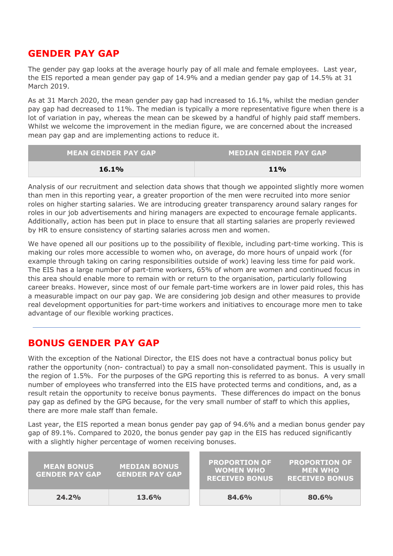### **GENDER PAY GAP**

The gender pay gap looks at the average hourly pay of all male and female employees. Last year, the EIS reported a mean gender pay gap of 14.9% and a median gender pay gap of 14.5% at 31 March 2019.

As at 31 March 2020, the mean gender pay gap had increased to 16.1%, whilst the median gender pay gap had decreased to 11%. The median is typically a more representative figure when there is a lot of variation in pay, whereas the mean can be skewed by a handful of highly paid staff members. Whilst we welcome the improvement in the median figure, we are concerned about the increased mean pay gap and are implementing actions to reduce it.

| <b>MEAN GENDER PAY GAP</b> | <b>MEDIAN GENDER PAY GAP</b> |
|----------------------------|------------------------------|
| <b>16.1%</b>               | 11%                          |

Analysis of our recruitment and selection data shows that though we appointed slightly more women than men in this reporting year, a greater proportion of the men were recruited into more senior roles on higher starting salaries. We are introducing greater transparency around salary ranges for roles in our job advertisements and hiring managers are expected to encourage female applicants. Additionally, action has been put in place to ensure that all starting salaries are properly reviewed by HR to ensure consistency of starting salaries across men and women.

We have opened all our positions up to the possibility of flexible, including part-time working. This is making our roles more accessible to women who, on average, do more hours of unpaid work (for example through taking on caring responsibilities outside of work) leaving less time for paid work. The EIS has a large number of part-time workers, 65% of whom are women and continued focus in this area should enable more to remain with or return to the organisation, particularly following career breaks. However, since most of our female part-time workers are in lower paid roles, this has a measurable impact on our pay gap. We are considering job design and other measures to provide real development opportunities for part-time workers and initiatives to encourage more men to take advantage of our flexible working practices.

#### **BONUS GENDER PAY GAP**

With the exception of the National Director, the EIS does not have a contractual bonus policy but rather the opportunity (non- contractual) to pay a small non-consolidated payment. This is usually in the region of 1.5%. For the purposes of the GPG reporting this is referred to as bonus. A very small number of employees who transferred into the EIS have protected terms and conditions, and, as a result retain the opportunity to receive bonus payments. These differences do impact on the bonus pay gap as defined by the GPG because, for the very small number of staff to which this applies, there are more male staff than female.

Last year, the EIS reported a mean bonus gender pay gap of 94.6% and a median bonus gender pay gap of 89.1%. Compared to 2020, the bonus gender pay gap in the EIS has reduced significantly with a slightly higher percentage of women receiving bonuses.

| <b>MEAN BONUS</b><br><b>GENDER PAY GAP</b> | <b>MEDIAN BONUS</b><br><b>GENDER PAY GAP</b> | <b>PROPORTION OF</b><br><b>WOMEN WHO</b><br><b>RECEIVED BONUS</b> | <b>PROPORTION OF</b><br><b>MEN WHO</b><br><b>RECEIVED BONUS</b> |
|--------------------------------------------|----------------------------------------------|-------------------------------------------------------------------|-----------------------------------------------------------------|
| 24.2%                                      | <b>13.6%</b>                                 | 84.6%                                                             | 80.6%                                                           |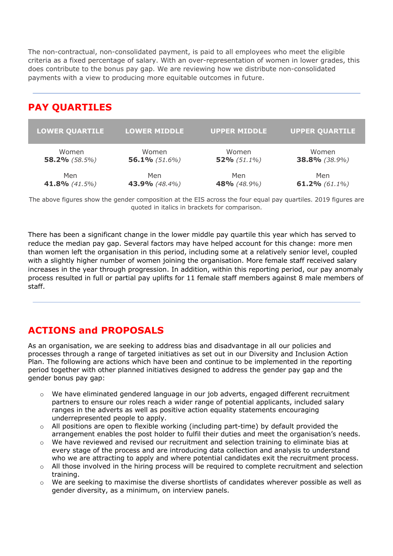The non-contractual, non-consolidated payment, is paid to all employees who meet the eligible criteria as a fixed percentage of salary. With an over-representation of women in lower grades, this does contribute to the bonus pay gap. We are reviewing how we distribute non-consolidated payments with a view to producing more equitable outcomes in future.

# **PAY QUARTILES**

| <b>LOWER QUARTILE</b> | LOWER MIDDLE     | <b>UPPER MIDDLE</b> | <b>UPPER QUARTILE</b> |
|-----------------------|------------------|---------------------|-----------------------|
| Women                 | Women            | Women               | Women                 |
| 58.2% $(58.5%)$       | 56.1% $(51.6\%)$ | $52\%$ (51.1%)      | 38.8% (38.9%)         |
| Men                   | Men              | Men                 | Men                   |
| 41.8% (41.5%)         | 43.9% (48.4%)    | 48% (48.9%)         | 61.2% $(61.1\%)$      |

The above figures show the gender composition at the EIS across the four equal pay quartiles. 2019 figures are quoted in italics in brackets for comparison.

There has been a significant change in the lower middle pay quartile this year which has served to reduce the median pay gap. Several factors may have helped account for this change: more men than women left the organisation in this period, including some at a relatively senior level, coupled with a slightly higher number of women joining the organisation. More female staff received salary increases in the year through progression. In addition, within this reporting period, our pay anomaly process resulted in full or partial pay uplifts for 11 female staff members against 8 male members of staff.

### **ACTIONS and PROPOSALS**

As an organisation, we are seeking to address bias and disadvantage in all our policies and processes through a range of targeted initiatives as set out in our Diversity and Inclusion Action Plan. The following are actions which have been and continue to be implemented in the reporting period together with other planned initiatives designed to address the gender pay gap and the gender bonus pay gap:

- $\circ$  We have eliminated gendered language in our job adverts, engaged different recruitment partners to ensure our roles reach a wider range of potential applicants, included salary ranges in the adverts as well as positive action equality statements encouraging underrepresented people to apply.
- $\circ$  All positions are open to flexible working (including part-time) by default provided the arrangement enables the post holder to fulfil their duties and meet the organisation's needs.
- $\circ$  We have reviewed and revised our recruitment and selection training to eliminate bias at every stage of the process and are introducing data collection and analysis to understand who we are attracting to apply and where potential candidates exit the recruitment process.
- $\circ$  All those involved in the hiring process will be required to complete recruitment and selection training.
- $\circ$  We are seeking to maximise the diverse shortlists of candidates wherever possible as well as gender diversity, as a minimum, on interview panels.